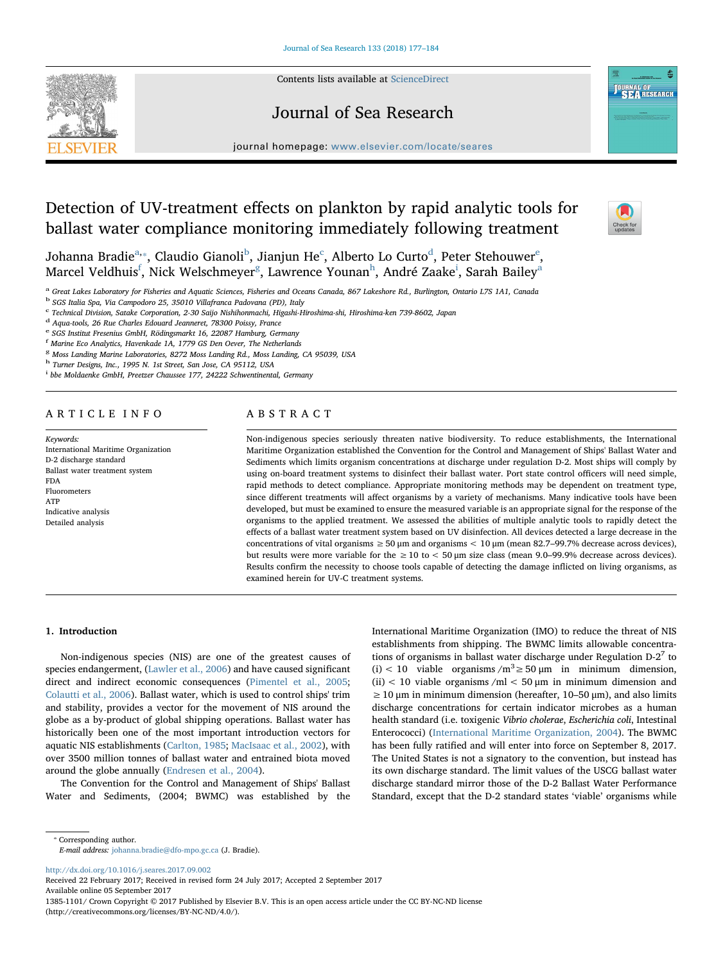

#### Contents lists available at [ScienceDirect](http://www.sciencedirect.com/science/journal/13851101)

## Journal of Sea Research



Check for<br>updates

journal homepage: [www.elsevier.com/locate/seares](http://www.elsevier.com/locate/seares)

# Detection of UV-treatment effects on plankton by rapid analytic tools for ballast water compliance monitoring immediately following treatment

Joh[a](#page-0-0)nna Bra[d](#page-0-4)i[e](#page-0-5) $^{\rm a, *}$ , Claudio Gianoli $^{\rm b}$  $^{\rm b}$  $^{\rm b}$ , Jianjun He $^{\rm c}$  $^{\rm c}$  $^{\rm c}$ , Alberto Lo Curto $^{\rm d}$ , Peter Stehouwer $^{\rm e}$ , Marcel Veldhuis<sup>[f](#page-0-6)</sup>, Nick Welschmeyer<sup>[g](#page-0-7)</sup>, Lawrence Younan<sup>[h](#page-0-8)</sup>, André Zaake<sup>[i](#page-0-9)</sup>, S[a](#page-0-0)rah Bailey<sup>a</sup>

<span id="page-0-0"></span><sup>a</sup> Great Lakes Laboratory for Fisheries and Aquatic Sciences, Fisheries and Oceans Canada, 867 Lakeshore Rd., Burlington, Ontario L7S 1A1, Canada

<span id="page-0-2"></span><sup>b</sup> SGS Italia Spa, Via Campodoro 25, 35010 Villafranca Padovana (PD), Italy

<span id="page-0-3"></span><sup>c</sup> Technical Division, Satake Corporation, 2-30 Saijo Nishihonmachi, Higashi-Hiroshima-shi, Hiroshima-ken 739-8602, Japan

<span id="page-0-4"></span><sup>d</sup> Aqua-tools, 26 Rue Charles Edouard Jeanneret, 78300 Poissy, France

<span id="page-0-5"></span><sup>e</sup> SGS Institut Fresenius GmbH, Rödingsmarkt 16, 22087 Hamburg, Germany

<span id="page-0-6"></span>f Marine Eco Analytics, Havenkade 1A, 1779 GS Den Oever, The Netherlands

<span id="page-0-7"></span><sup>g</sup> Moss Landing Marine Laboratories, 8272 Moss Landing Rd., Moss Landing, CA 95039, USA

<span id="page-0-8"></span>h Turner Designs, Inc., 1995 N. 1st Street, San Jose, CA 95112, USA

<span id="page-0-9"></span><sup>i</sup> bbe Moldaenke GmbH, Preetzer Chaussee 177, 24222 Schwentinental, Germany

## ARTICLE INFO

Keywords: International Maritime Organization D-2 discharge standard Ballast water treatment system FDA Fluorometers ATP Indicative analysis Detailed analysis

## ABSTRACT

Non-indigenous species seriously threaten native biodiversity. To reduce establishments, the International Maritime Organization established the Convention for the Control and Management of Ships' Ballast Water and Sediments which limits organism concentrations at discharge under regulation D-2. Most ships will comply by using on-board treatment systems to disinfect their ballast water. Port state control officers will need simple, rapid methods to detect compliance. Appropriate monitoring methods may be dependent on treatment type, since different treatments will affect organisms by a variety of mechanisms. Many indicative tools have been developed, but must be examined to ensure the measured variable is an appropriate signal for the response of the organisms to the applied treatment. We assessed the abilities of multiple analytic tools to rapidly detect the effects of a ballast water treatment system based on UV disinfection. All devices detected a large decrease in the concentrations of vital organisms  $\geq$  50 μm and organisms  $\lt$  10 μm (mean 82.7–99.7% decrease across devices), but results were more variable for the  $\geq 10$  to  $\lt$  50  $\mu$ m size class (mean 9.0–99.9% decrease across devices). Results confirm the necessity to choose tools capable of detecting the damage inflicted on living organisms, as examined herein for UV-C treatment systems.

#### 1. Introduction

Non-indigenous species (NIS) are one of the greatest causes of species endangerment, [\(Lawler et al., 2006](#page-7-0)) and have caused significant direct and indirect economic consequences ([Pimentel et al., 2005](#page-7-1); [Colautti et al., 2006\)](#page-6-0). Ballast water, which is used to control ships' trim and stability, provides a vector for the movement of NIS around the globe as a by-product of global shipping operations. Ballast water has historically been one of the most important introduction vectors for aquatic NIS establishments ([Carlton, 1985](#page-6-1); [MacIsaac et al., 2002](#page-7-2)), with over 3500 million tonnes of ballast water and entrained biota moved around the globe annually [\(Endresen et al., 2004](#page-7-3)).

The Convention for the Control and Management of Ships' Ballast Water and Sediments, (2004; BWMC) was established by the International Maritime Organization (IMO) to reduce the threat of NIS establishments from shipping. The BWMC limits allowable concentrations of organisms in ballast water discharge under Regulation  $D-2^7$  to (i) < 10 viable organisms  $/m^3 \ge 50 \mu m$  in minimum dimension, (ii)  $<$  10 viable organisms /ml  $<$  50  $\mu$ m in minimum dimension and  $\geq$  10 μm in minimum dimension (hereafter, 10–50 μm), and also limits discharge concentrations for certain indicator microbes as a human health standard (i.e. toxigenic Vibrio cholerae, Escherichia coli, Intestinal Enterococci) ([International Maritime Organization, 2004](#page-7-4)). The BWMC has been fully ratified and will enter into force on September 8, 2017. The United States is not a signatory to the convention, but instead has its own discharge standard. The limit values of the USCG ballast water discharge standard mirror those of the D-2 Ballast Water Performance Standard, except that the D-2 standard states 'viable' organisms while

E-mail address: [johanna.bradie@dfo-mpo.gc.ca](mailto:johanna.bradie@dfo-mpo.gc.ca) (J. Bradie).

<http://dx.doi.org/10.1016/j.seares.2017.09.002>

Received 22 February 2017; Received in revised form 24 July 2017; Accepted 2 September 2017 Available online 05 September 2017

1385-1101/ Crown Copyright © 2017 Published by Elsevier B.V. This is an open access article under the CC BY-NC-ND license (http://creativecommons.org/licenses/BY-NC-ND/4.0/).

<span id="page-0-1"></span><sup>⁎</sup> Corresponding author.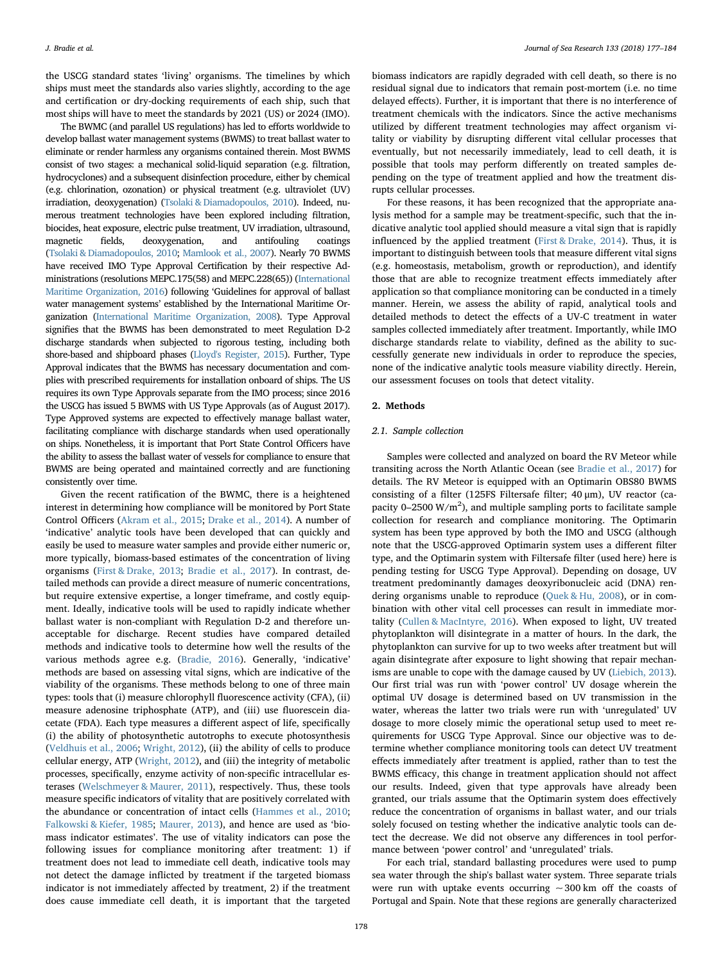the USCG standard states 'living' organisms. The timelines by which ships must meet the standards also varies slightly, according to the age and certification or dry-docking requirements of each ship, such that most ships will have to meet the standards by 2021 (US) or 2024 (IMO).

The BWMC (and parallel US regulations) has led to efforts worldwide to develop ballast water management systems (BWMS) to treat ballast water to eliminate or render harmless any organisms contained therein. Most BWMS consist of two stages: a mechanical solid-liquid separation (e.g. filtration, hydrocyclones) and a subsequent disinfection procedure, either by chemical (e.g. chlorination, ozonation) or physical treatment (e.g. ultraviolet (UV) irradiation, deoxygenation) [\(Tsolaki & Diamadopoulos, 2010\)](#page-7-5). Indeed, numerous treatment technologies have been explored including filtration, biocides, heat exposure, electric pulse treatment, UV irradiation, ultrasound, magnetic fields, deoxygenation, and antifouling coatings [\(Tsolaki & Diamadopoulos, 2010;](#page-7-5) [Mamlook et al., 2007\)](#page-7-6). Nearly 70 BWMS have received IMO Type Approval Certification by their respective Administrations (resolutions MEPC.175(58) and MEPC.228(65)) ([International](#page-7-7) [Maritime Organization, 2016](#page-7-7)) following 'Guidelines for approval of ballast water management systems' established by the International Maritime Organization [\(International Maritime Organization, 2008\)](#page-7-8). Type Approval signifies that the BWMS has been demonstrated to meet Regulation D-2 discharge standards when subjected to rigorous testing, including both shore-based and shipboard phases ([Lloyd's Register, 2015](#page-7-9)). Further, Type Approval indicates that the BWMS has necessary documentation and complies with prescribed requirements for installation onboard of ships. The US requires its own Type Approvals separate from the IMO process; since 2016 the USCG has issued 5 BWMS with US Type Approvals (as of August 2017). Type Approved systems are expected to effectively manage ballast water, facilitating compliance with discharge standards when used operationally on ships. Nonetheless, it is important that Port State Control Officers have the ability to assess the ballast water of vessels for compliance to ensure that BWMS are being operated and maintained correctly and are functioning consistently over time.

Given the recent ratification of the BWMC, there is a heightened interest in determining how compliance will be monitored by Port State Control Officers ([Akram et al., 2015;](#page-6-2) [Drake et al., 2014\)](#page-6-3). A number of 'indicative' analytic tools have been developed that can quickly and easily be used to measure water samples and provide either numeric or, more typically, biomass-based estimates of the concentration of living organisms ([First & Drake, 2013](#page-7-10); [Bradie et al., 2017\)](#page-6-4). In contrast, detailed methods can provide a direct measure of numeric concentrations, but require extensive expertise, a longer timeframe, and costly equipment. Ideally, indicative tools will be used to rapidly indicate whether ballast water is non-compliant with Regulation D-2 and therefore unacceptable for discharge. Recent studies have compared detailed methods and indicative tools to determine how well the results of the various methods agree e.g. [\(Bradie, 2016\)](#page-6-5). Generally, 'indicative' methods are based on assessing vital signs, which are indicative of the viability of the organisms. These methods belong to one of three main types: tools that (i) measure chlorophyll fluorescence activity (CFA), (ii) measure adenosine triphosphate (ATP), and (iii) use fluorescein diacetate (FDA). Each type measures a different aspect of life, specifically (i) the ability of photosynthetic autotrophs to execute photosynthesis ([Veldhuis et al., 2006;](#page-7-11) [Wright, 2012\)](#page-7-12), (ii) the ability of cells to produce cellular energy, ATP [\(Wright, 2012](#page-7-12)), and (iii) the integrity of metabolic processes, specifically, enzyme activity of non-specific intracellular esterases ([Welschmeyer & Maurer, 2011](#page-7-13)), respectively. Thus, these tools measure specific indicators of vitality that are positively correlated with the abundance or concentration of intact cells ([Hammes et al., 2010](#page-7-14); [Falkowski & Kiefer, 1985](#page-7-15); [Maurer, 2013\)](#page-7-16), and hence are used as 'biomass indicator estimates'. The use of vitality indicators can pose the following issues for compliance monitoring after treatment: 1) if treatment does not lead to immediate cell death, indicative tools may not detect the damage inflicted by treatment if the targeted biomass indicator is not immediately affected by treatment, 2) if the treatment does cause immediate cell death, it is important that the targeted

biomass indicators are rapidly degraded with cell death, so there is no residual signal due to indicators that remain post-mortem (i.e. no time delayed effects). Further, it is important that there is no interference of treatment chemicals with the indicators. Since the active mechanisms utilized by different treatment technologies may affect organism vitality or viability by disrupting different vital cellular processes that eventually, but not necessarily immediately, lead to cell death, it is possible that tools may perform differently on treated samples depending on the type of treatment applied and how the treatment disrupts cellular processes.

For these reasons, it has been recognized that the appropriate analysis method for a sample may be treatment-specific, such that the indicative analytic tool applied should measure a vital sign that is rapidly influenced by the applied treatment ([First & Drake, 2014](#page-7-17)). Thus, it is important to distinguish between tools that measure different vital signs (e.g. homeostasis, metabolism, growth or reproduction), and identify those that are able to recognize treatment effects immediately after application so that compliance monitoring can be conducted in a timely manner. Herein, we assess the ability of rapid, analytical tools and detailed methods to detect the effects of a UV-C treatment in water samples collected immediately after treatment. Importantly, while IMO discharge standards relate to viability, defined as the ability to successfully generate new individuals in order to reproduce the species, none of the indicative analytic tools measure viability directly. Herein, our assessment focuses on tools that detect vitality.

#### 2. Methods

#### 2.1. Sample collection

Samples were collected and analyzed on board the RV Meteor while transiting across the North Atlantic Ocean (see [Bradie et al., 2017\)](#page-6-4) for details. The RV Meteor is equipped with an Optimarin OBS80 BWMS consisting of a filter (125FS Filtersafe filter; 40 μm), UV reactor (capacity 0-2500  $W/m<sup>2</sup>$ ), and multiple sampling ports to facilitate sample collection for research and compliance monitoring. The Optimarin system has been type approved by both the IMO and USCG (although note that the USCG-approved Optimarin system uses a different filter type, and the Optimarin system with Filtersafe filter (used here) here is pending testing for USCG Type Approval). Depending on dosage, UV treatment predominantly damages deoxyribonucleic acid (DNA) rendering organisms unable to reproduce [\(Quek & Hu, 2008](#page-7-18)), or in combination with other vital cell processes can result in immediate mortality [\(Cullen & MacIntyre, 2016](#page-6-6)). When exposed to light, UV treated phytoplankton will disintegrate in a matter of hours. In the dark, the phytoplankton can survive for up to two weeks after treatment but will again disintegrate after exposure to light showing that repair mechanisms are unable to cope with the damage caused by UV ([Liebich, 2013](#page-7-19)). Our first trial was run with 'power control' UV dosage wherein the optimal UV dosage is determined based on UV transmission in the water, whereas the latter two trials were run with 'unregulated' UV dosage to more closely mimic the operational setup used to meet requirements for USCG Type Approval. Since our objective was to determine whether compliance monitoring tools can detect UV treatment effects immediately after treatment is applied, rather than to test the BWMS efficacy, this change in treatment application should not affect our results. Indeed, given that type approvals have already been granted, our trials assume that the Optimarin system does effectively reduce the concentration of organisms in ballast water, and our trials solely focused on testing whether the indicative analytic tools can detect the decrease. We did not observe any differences in tool performance between 'power control' and 'unregulated' trials.

For each trial, standard ballasting procedures were used to pump sea water through the ship's ballast water system. Three separate trials were run with uptake events occurring  $\sim$  300 km off the coasts of Portugal and Spain. Note that these regions are generally characterized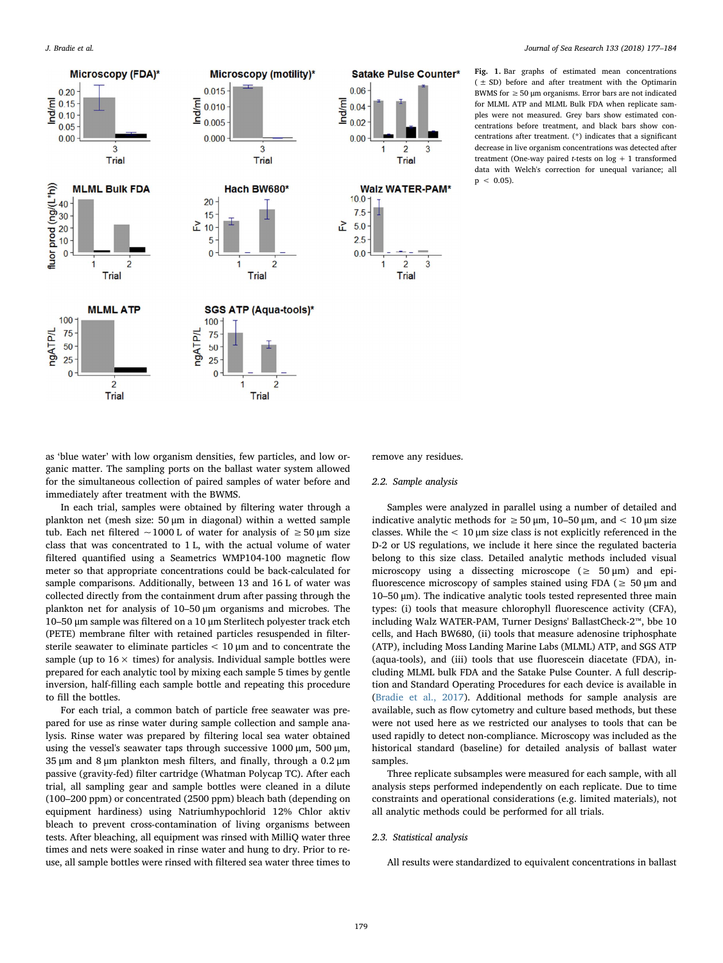<span id="page-2-0"></span>

Fig. 1. Bar graphs of estimated mean concentrations ( ± SD) before and after treatment with the Optimarin BWMS for  $\geq$  50 um organisms. Error bars are not indicated for MLML ATP and MLML Bulk FDA when replicate samples were not measured. Grey bars show estimated concentrations before treatment, and black bars show concentrations after treatment. (\*) indicates that a significant decrease in live organism concentrations was detected after treatment (One-way paired *t*-tests on  $log + 1$  transformed data with Welch's correction for unequal variance; all  $p < 0.05$ ).

as 'blue water' with low organism densities, few particles, and low organic matter. The sampling ports on the ballast water system allowed for the simultaneous collection of paired samples of water before and immediately after treatment with the BWMS.

In each trial, samples were obtained by filtering water through a plankton net (mesh size: 50 μm in diagonal) within a wetted sample tub. Each net filtered ~1000 L of water for analysis of  $\geq$  50 µm size class that was concentrated to 1 L, with the actual volume of water filtered quantified using a Seametrics WMP104-100 magnetic flow meter so that appropriate concentrations could be back-calculated for sample comparisons. Additionally, between 13 and 16 L of water was collected directly from the containment drum after passing through the plankton net for analysis of 10–50 μm organisms and microbes. The 10–50 μm sample was filtered on a 10 μm Sterlitech polyester track etch (PETE) membrane filter with retained particles resuspended in filtersterile seawater to eliminate particles < 10 μm and to concentrate the sample (up to  $16 \times$  times) for analysis. Individual sample bottles were prepared for each analytic tool by mixing each sample 5 times by gentle inversion, half-filling each sample bottle and repeating this procedure to fill the bottles.

For each trial, a common batch of particle free seawater was prepared for use as rinse water during sample collection and sample analysis. Rinse water was prepared by filtering local sea water obtained using the vessel's seawater taps through successive 1000 μm, 500 μm, 35 μm and 8 μm plankton mesh filters, and finally, through a 0.2 μm passive (gravity-fed) filter cartridge (Whatman Polycap TC). After each trial, all sampling gear and sample bottles were cleaned in a dilute (100–200 ppm) or concentrated (2500 ppm) bleach bath (depending on equipment hardiness) using Natriumhypochlorid 12% Chlor aktiv bleach to prevent cross-contamination of living organisms between tests. After bleaching, all equipment was rinsed with MilliQ water three times and nets were soaked in rinse water and hung to dry. Prior to reuse, all sample bottles were rinsed with filtered sea water three times to

remove any residues.

#### 2.2. Sample analysis

Samples were analyzed in parallel using a number of detailed and indicative analytic methods for  $\geq$  50 μm, 10–50 μm, and < 10 μm size classes. While the  $< 10 \mu m$  size class is not explicitly referenced in the D-2 or US regulations, we include it here since the regulated bacteria belong to this size class. Detailed analytic methods included visual microscopy using a dissecting microscope ( $\geq$  50  $\mu$ m) and epifluorescence microscopy of samples stained using FDA ( $\geq$  50  $\mu$ m and 10–50 μm). The indicative analytic tools tested represented three main types: (i) tools that measure chlorophyll fluorescence activity (CFA), including Walz WATER-PAM, Turner Designs' BallastCheck-2™, bbe 10 cells, and Hach BW680, (ii) tools that measure adenosine triphosphate (ATP), including Moss Landing Marine Labs (MLML) ATP, and SGS ATP (aqua-tools), and (iii) tools that use fluorescein diacetate (FDA), including MLML bulk FDA and the Satake Pulse Counter. A full description and Standard Operating Procedures for each device is available in ([Bradie et al., 2017](#page-6-4)). Additional methods for sample analysis are available, such as flow cytometry and culture based methods, but these were not used here as we restricted our analyses to tools that can be used rapidly to detect non-compliance. Microscopy was included as the historical standard (baseline) for detailed analysis of ballast water samples.

Three replicate subsamples were measured for each sample, with all analysis steps performed independently on each replicate. Due to time constraints and operational considerations (e.g. limited materials), not all analytic methods could be performed for all trials.

#### 2.3. Statistical analysis

All results were standardized to equivalent concentrations in ballast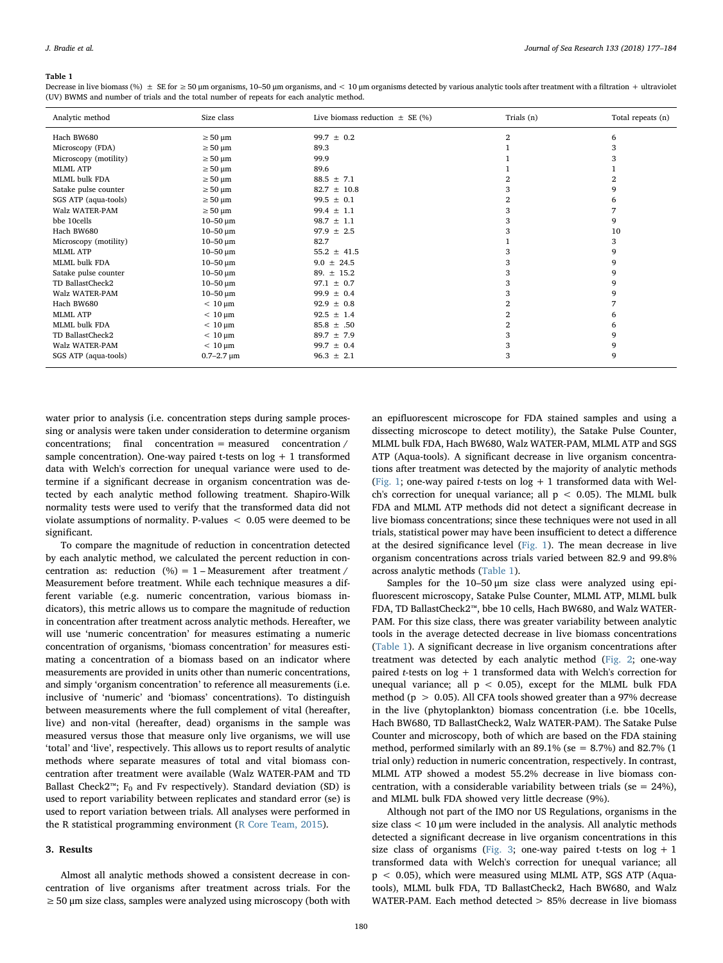#### <span id="page-3-0"></span>Table 1

| Analytic method       | Size class          | Live biomass reduction $\pm$ SE (%) | Trials (n) | Total repeats (n) |
|-----------------------|---------------------|-------------------------------------|------------|-------------------|
| Hach BW680            | $\geq 50 \,\mu m$   | 99.7 $\pm$ 0.2                      | 2          | 6                 |
| Microscopy (FDA)      | $\geq 50 \,\mu m$   | 89.3                                |            | 3                 |
| Microscopy (motility) | $\geq 50 \,\mu m$   | 99.9                                |            | 3                 |
| <b>MLML ATP</b>       | $\geq 50 \,\mu m$   | 89.6                                |            |                   |
| MLML bulk FDA         | $\geq 50 \,\mu m$   | $88.5 \pm 7.1$                      |            |                   |
| Satake pulse counter  | $\geq 50 \mu m$     | $82.7 \pm 10.8$                     |            | q                 |
| SGS ATP (aqua-tools)  | $\geq 50 \mu m$     | $99.5 \pm 0.1$                      | 2          | 6                 |
| Walz WATER-PAM        | $\geq 50 \mu m$     | $99.4 \pm 1.1$                      |            |                   |
| bbe 10cells           | $10 - 50 \mu m$     | $98.7 \pm 1.1$                      |            | 9                 |
| Hach BW680            | $10 - 50 \mu m$     | $97.9 \pm 2.5$                      |            | 10                |
| Microscopy (motility) | $10 - 50 \mu m$     | 82.7                                |            | 3                 |
| <b>MLML ATP</b>       | $10 - 50 \mu m$     | $55.2 \pm 41.5$                     |            | 9                 |
| MLML bulk FDA         | $10 - 50 \mu m$     | $9.0 \pm 24.5$                      |            | 9                 |
| Satake pulse counter  | $10 - 50 \mu m$     | 89. $\pm$ 15.2                      |            | 9                 |
| TD BallastCheck2      | $10 - 50 \mu m$     | $97.1 \pm 0.7$                      |            | 9                 |
| Walz WATER-PAM        | $10 - 50 \mu m$     | $99.9 \pm 0.4$                      |            | 9                 |
| Hach BW680            | $< 10 \mu m$        | $92.9 \pm 0.8$                      | 2          |                   |
| <b>MLML ATP</b>       | $< 10 \mu m$        | $92.5 \pm 1.4$                      | 2          |                   |
| MLML bulk FDA         | $< 10 \mu m$        | $85.8 \pm .50$                      | 2          | 6                 |
| TD BallastCheck2      | $< 10 \mu m$        | $89.7 \pm 7.9$                      |            | 9                 |
| Walz WATER-PAM        | $< 10 \mu m$        | $99.7 \pm 0.4$                      |            | 9                 |
| SGS ATP (aqua-tools)  | $0.7 - 2.7 \,\mu m$ | $96.3 \pm 2.1$                      | 3          | 9                 |

Decrease in live biomass (%)  $\pm$  SE for  $\geq$  50 µm organisms, 10–50 µm organisms, and < 10 µm organisms detected by various analytic tools after treatment with a filtration + ultraviolet (UV) BWMS and number of trials and the total number of repeats for each analytic method.

water prior to analysis (i.e. concentration steps during sample processing or analysis were taken under consideration to determine organism concentrations; final concentration = measured concentration / sample concentration). One-way paired t-tests on  $log + 1$  transformed data with Welch's correction for unequal variance were used to determine if a significant decrease in organism concentration was detected by each analytic method following treatment. Shapiro-Wilk normality tests were used to verify that the transformed data did not violate assumptions of normality. P-values < 0.05 were deemed to be significant.

To compare the magnitude of reduction in concentration detected by each analytic method, we calculated the percent reduction in concentration as: reduction  $(\%) = 1 - Measurement$  after treatment / Measurement before treatment. While each technique measures a different variable (e.g. numeric concentration, various biomass indicators), this metric allows us to compare the magnitude of reduction in concentration after treatment across analytic methods. Hereafter, we will use 'numeric concentration' for measures estimating a numeric concentration of organisms, 'biomass concentration' for measures estimating a concentration of a biomass based on an indicator where measurements are provided in units other than numeric concentrations, and simply 'organism concentration' to reference all measurements (i.e. inclusive of 'numeric' and 'biomass' concentrations). To distinguish between measurements where the full complement of vital (hereafter, live) and non-vital (hereafter, dead) organisms in the sample was measured versus those that measure only live organisms, we will use 'total' and 'live', respectively. This allows us to report results of analytic methods where separate measures of total and vital biomass concentration after treatment were available (Walz WATER-PAM and TD Ballast Check2™;  $F_0$  and Fv respectively). Standard deviation (SD) is used to report variability between replicates and standard error (se) is used to report variation between trials. All analyses were performed in the R statistical programming environment ([R Core Team, 2015\)](#page-7-20).

#### 3. Results

Almost all analytic methods showed a consistent decrease in concentration of live organisms after treatment across trials. For the  $\geq$  50 µm size class, samples were analyzed using microscopy (both with an epifluorescent microscope for FDA stained samples and using a dissecting microscope to detect motility), the Satake Pulse Counter, MLML bulk FDA, Hach BW680, Walz WATER-PAM, MLML ATP and SGS ATP (Aqua-tools). A significant decrease in live organism concentrations after treatment was detected by the majority of analytic methods ([Fig. 1](#page-2-0); one-way paired *t*-tests on  $log + 1$  transformed data with Welch's correction for unequal variance; all  $p < 0.05$ ). The MLML bulk FDA and MLML ATP methods did not detect a significant decrease in live biomass concentrations; since these techniques were not used in all trials, statistical power may have been insufficient to detect a difference at the desired significance level ([Fig. 1](#page-2-0)). The mean decrease in live organism concentrations across trials varied between 82.9 and 99.8% across analytic methods [\(Table 1\)](#page-3-0).

Samples for the 10–50 μm size class were analyzed using epifluorescent microscopy, Satake Pulse Counter, MLML ATP, MLML bulk FDA, TD BallastCheck2™, bbe 10 cells, Hach BW680, and Walz WATER-PAM. For this size class, there was greater variability between analytic tools in the average detected decrease in live biomass concentrations ([Table 1](#page-3-0)). A significant decrease in live organism concentrations after treatment was detected by each analytic method ([Fig. 2](#page-4-0); one-way paired *t*-tests on  $log + 1$  transformed data with Welch's correction for unequal variance; all  $p < 0.05$ ), except for the MLML bulk FDA method (p > 0.05). All CFA tools showed greater than a 97% decrease in the live (phytoplankton) biomass concentration (i.e. bbe 10cells, Hach BW680, TD BallastCheck2, Walz WATER-PAM). The Satake Pulse Counter and microscopy, both of which are based on the FDA staining method, performed similarly with an  $89.1\%$  (se =  $8.7\%$ ) and  $82.7\%$  (1 trial only) reduction in numeric concentration, respectively. In contrast, MLML ATP showed a modest 55.2% decrease in live biomass concentration, with a considerable variability between trials (se =  $24\%$ ), and MLML bulk FDA showed very little decrease (9%).

Although not part of the IMO nor US Regulations, organisms in the size class < 10 μm were included in the analysis. All analytic methods detected a significant decrease in live organism concentrations in this size class of organisms ([Fig. 3;](#page-4-1) one-way paired t-tests on  $log + 1$ transformed data with Welch's correction for unequal variance; all p < 0.05), which were measured using MLML ATP, SGS ATP (Aquatools), MLML bulk FDA, TD BallastCheck2, Hach BW680, and Walz WATER-PAM. Each method detected > 85% decrease in live biomass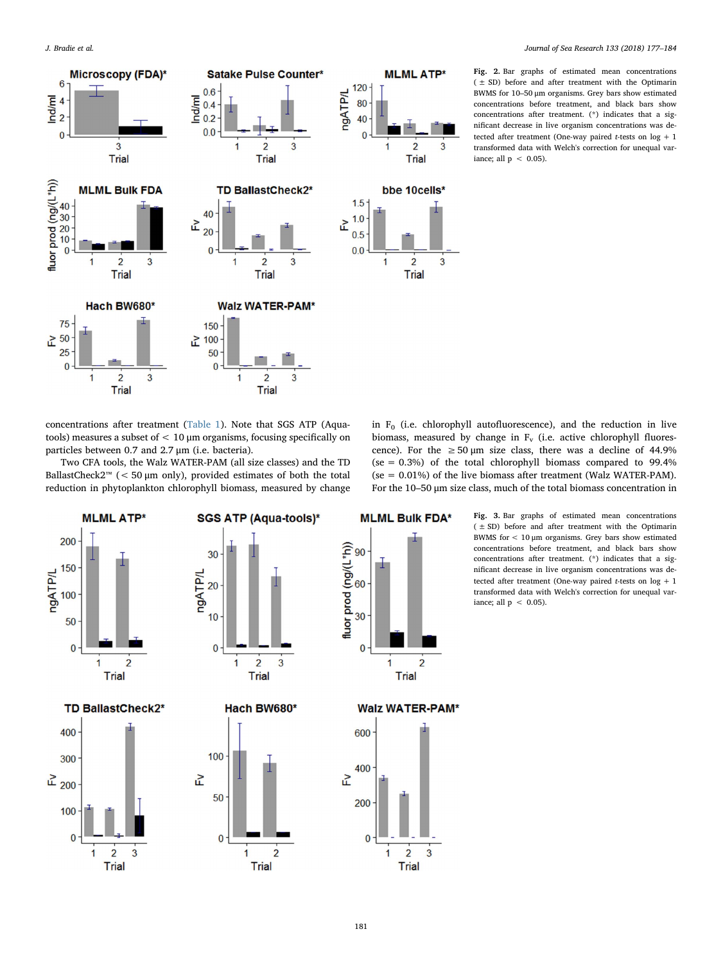<span id="page-4-0"></span>

Fig. 2. Bar graphs of estimated mean concentrations ( ± SD) before and after treatment with the Optimarin BWMS for 10–50 μm organisms. Grey bars show estimated concentrations before treatment, and black bars show concentrations after treatment. (\*) indicates that a significant decrease in live organism concentrations was detected after treatment (One-way paired t-tests on log + 1 transformed data with Welch's correction for unequal variance: all  $p < 0.05$ ).

concentrations after treatment [\(Table 1\)](#page-3-0). Note that SGS ATP (Aquatools) measures a subset of < 10 μm organisms, focusing specifically on particles between 0.7 and 2.7 μm (i.e. bacteria).

Two CFA tools, the Walz WATER-PAM (all size classes) and the TD BallastCheck2™ ( $\lt$  50 µm only), provided estimates of both the total reduction in phytoplankton chlorophyll biomass, measured by change

**Trial** 



<span id="page-4-1"></span>

Trial

Fig. 3. Bar graphs of estimated mean concentrations  $( ± SD)$  before and after treatment with the Optimarin BWMS for  $< 10 \mu m$  organisms. Grey bars show estimated concentrations before treatment, and black bars show concentrations after treatment. (\*) indicates that a significant decrease in live organism concentrations was detected after treatment (One-way paired t-tests on  $log + 1$ transformed data with Welch's correction for unequal variance; all  $p < 0.05$ ).

**Trial**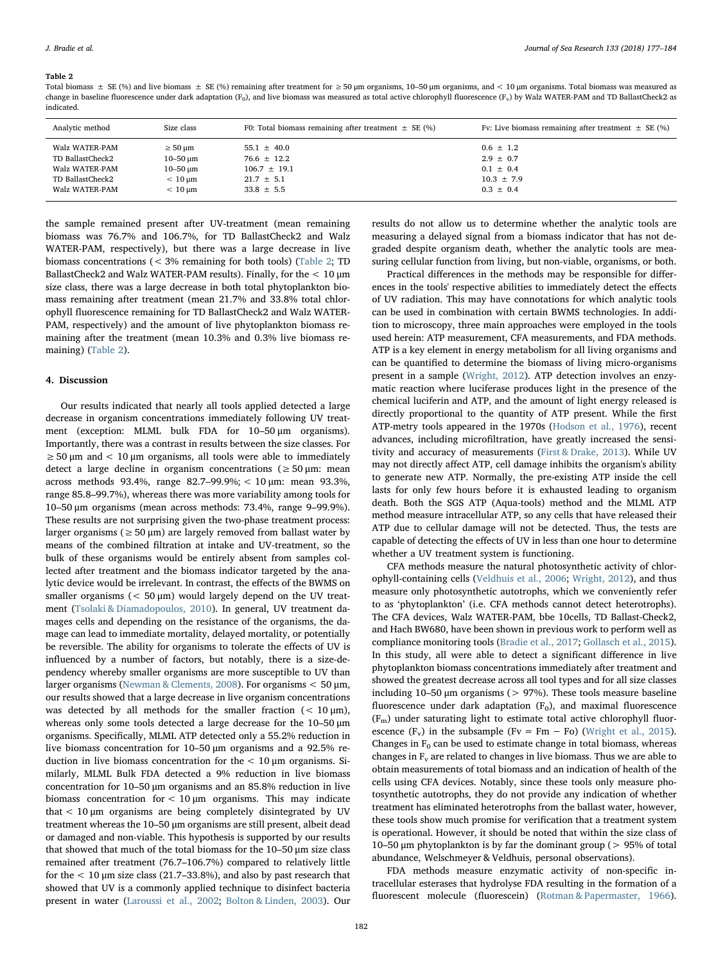#### <span id="page-5-0"></span>Table 2

Total biomass  $\pm$  SE (%) and live biomass  $\pm$  SE (%) remaining after treatment for  $\geq$  50 µm organisms, 10–50 µm organisms, and  $\lt$  10 µm organisms. Total biomass was measured as change in baseline fluorescence under dark adaptation (F<sub>0</sub>), and live biomass was measured as total active chlorophyll fluorescence (F<sub>v</sub>) by Walz WATER-PAM and TD BallastCheck2 as indicated.

| Analytic method  | Size class        | F0: Total biomass remaining after treatment $\pm$ SE (%) | Fv: Live biomass remaining after treatment $\pm$ SE (%) |
|------------------|-------------------|----------------------------------------------------------|---------------------------------------------------------|
| Walz WATER-PAM   | $\geq 50 \mu m$   | $55.1 \pm 40.0$                                          | $0.6 \pm 1.2$                                           |
| TD BallastCheck2 | $10 - 50 \mu m$   | $76.6 \pm 12.2$                                          | $2.9 \pm 0.7$                                           |
| Walz WATER-PAM   | $10 - 50 \mu m$   | $106.7 \pm 19.1$                                         | $0.1 \pm 0.4$                                           |
| TD BallastCheck2 | $< 10 \text{ nm}$ | $21.7 \pm 5.1$                                           | $10.3 \pm 7.9$                                          |
| Walz WATER-PAM   | $< 10 \text{ nm}$ | $33.8 \pm 5.5$                                           | $0.3 \pm 0.4$                                           |

the sample remained present after UV-treatment (mean remaining biomass was 76.7% and 106.7%, for TD BallastCheck2 and Walz WATER-PAM, respectively), but there was a large decrease in live biomass concentrations (< 3% remaining for both tools) [\(Table 2](#page-5-0); TD BallastCheck2 and Walz WATER-PAM results). Finally, for the  $<10\,\mu\mathrm{m}$ size class, there was a large decrease in both total phytoplankton biomass remaining after treatment (mean 21.7% and 33.8% total chlorophyll fluorescence remaining for TD BallastCheck2 and Walz WATER-PAM, respectively) and the amount of live phytoplankton biomass remaining after the treatment (mean 10.3% and 0.3% live biomass remaining) [\(Table 2\)](#page-5-0).

## 4. Discussion

Our results indicated that nearly all tools applied detected a large decrease in organism concentrations immediately following UV treatment (exception: MLML bulk FDA for 10–50 μm organisms). Importantly, there was a contrast in results between the size classes. For  $\geq$  50 µm and < 10 µm organisms, all tools were able to immediately detect a large decline in organism concentrations ( $\geq 50 \,\text{\ensuremath{\mu}m}$ : mean across methods 93.4%, range 82.7–99.9%; < 10 μm: mean 93.3%, range 85.8–99.7%), whereas there was more variability among tools for 10–50 μm organisms (mean across methods: 73.4%, range 9–99.9%). These results are not surprising given the two-phase treatment process: larger organisms ( $\geq$  50 µm) are largely removed from ballast water by means of the combined filtration at intake and UV-treatment, so the bulk of these organisms would be entirely absent from samples collected after treatment and the biomass indicator targeted by the analytic device would be irrelevant. In contrast, the effects of the BWMS on smaller organisms  $(< 50 \mu m)$  would largely depend on the UV treatment ([Tsolaki & Diamadopoulos, 2010\)](#page-7-5). In general, UV treatment damages cells and depending on the resistance of the organisms, the damage can lead to immediate mortality, delayed mortality, or potentially be reversible. The ability for organisms to tolerate the effects of UV is influenced by a number of factors, but notably, there is a size-dependency whereby smaller organisms are more susceptible to UV than larger organisms [\(Newman & Clements, 2008\)](#page-7-21). For organisms < 50 μm, our results showed that a large decrease in live organism concentrations was detected by all methods for the smaller fraction  $(< 10 \mu m)$ , whereas only some tools detected a large decrease for the 10–50 μm organisms. Specifically, MLML ATP detected only a 55.2% reduction in live biomass concentration for 10–50 μm organisms and a 92.5% reduction in live biomass concentration for the  $< 10 \mu$ m organisms. Similarly, MLML Bulk FDA detected a 9% reduction in live biomass concentration for 10–50 μm organisms and an 85.8% reduction in live biomass concentration for  $< 10 \mu m$  organisms. This may indicate that < 10 μm organisms are being completely disintegrated by UV treatment whereas the 10–50 μm organisms are still present, albeit dead or damaged and non-viable. This hypothesis is supported by our results that showed that much of the total biomass for the 10–50 μm size class remained after treatment (76.7–106.7%) compared to relatively little for the  $< 10$  µm size class (21.7–33.8%), and also by past research that showed that UV is a commonly applied technique to disinfect bacteria present in water ([Laroussi et al., 2002](#page-7-22); [Bolton & Linden, 2003](#page-6-7)). Our

results do not allow us to determine whether the analytic tools are measuring a delayed signal from a biomass indicator that has not degraded despite organism death, whether the analytic tools are measuring cellular function from living, but non-viable, organisms, or both.

Practical differences in the methods may be responsible for differences in the tools' respective abilities to immediately detect the effects of UV radiation. This may have connotations for which analytic tools can be used in combination with certain BWMS technologies. In addition to microscopy, three main approaches were employed in the tools used herein: ATP measurement, CFA measurements, and FDA methods. ATP is a key element in energy metabolism for all living organisms and can be quantified to determine the biomass of living micro-organisms present in a sample [\(Wright, 2012](#page-7-12)). ATP detection involves an enzymatic reaction where luciferase produces light in the presence of the chemical luciferin and ATP, and the amount of light energy released is directly proportional to the quantity of ATP present. While the first ATP-metry tools appeared in the 1970s ([Hodson et al., 1976](#page-7-23)), recent advances, including microfiltration, have greatly increased the sensitivity and accuracy of measurements ([First & Drake, 2013](#page-7-10)). While UV may not directly affect ATP, cell damage inhibits the organism's ability to generate new ATP. Normally, the pre-existing ATP inside the cell lasts for only few hours before it is exhausted leading to organism death. Both the SGS ATP (Aqua-tools) method and the MLML ATP method measure intracellular ATP, so any cells that have released their ATP due to cellular damage will not be detected. Thus, the tests are capable of detecting the effects of UV in less than one hour to determine whether a UV treatment system is functioning.

CFA methods measure the natural photosynthetic activity of chlorophyll-containing cells ([Veldhuis et al., 2006;](#page-7-11) [Wright, 2012](#page-7-12)), and thus measure only photosynthetic autotrophs, which we conveniently refer to as 'phytoplankton' (i.e. CFA methods cannot detect heterotrophs). The CFA devices, Walz WATER-PAM, bbe 10cells, TD Ballast-Check2, and Hach BW680, have been shown in previous work to perform well as compliance monitoring tools [\(Bradie et al., 2017;](#page-6-4) [Gollasch et al., 2015](#page-7-24)). In this study, all were able to detect a significant difference in live phytoplankton biomass concentrations immediately after treatment and showed the greatest decrease across all tool types and for all size classes including 10–50  $\mu$ m organisms ( $> 97\%$ ). These tools measure baseline fluorescence under dark adaptation  $(F_0)$ , and maximal fluorescence (Fm) under saturating light to estimate total active chlorophyll fluorescence ( $F_v$ ) in the subsample ( $Fv = Fm - Fo$ ) ([Wright et al., 2015](#page-7-25)). Changes in  $F_0$  can be used to estimate change in total biomass, whereas changes in  $F_v$  are related to changes in live biomass. Thus we are able to obtain measurements of total biomass and an indication of health of the cells using CFA devices. Notably, since these tools only measure photosynthetic autotrophs, they do not provide any indication of whether treatment has eliminated heterotrophs from the ballast water, however, these tools show much promise for verification that a treatment system is operational. However, it should be noted that within the size class of 10–50 μm phytoplankton is by far the dominant group (> 95% of total abundance, Welschmeyer & Veldhuis, personal observations).

FDA methods measure enzymatic activity of non-specific intracellular esterases that hydrolyse FDA resulting in the formation of a fluorescent molecule (fluorescein) [\(Rotman & Papermaster, 1966](#page-7-26)).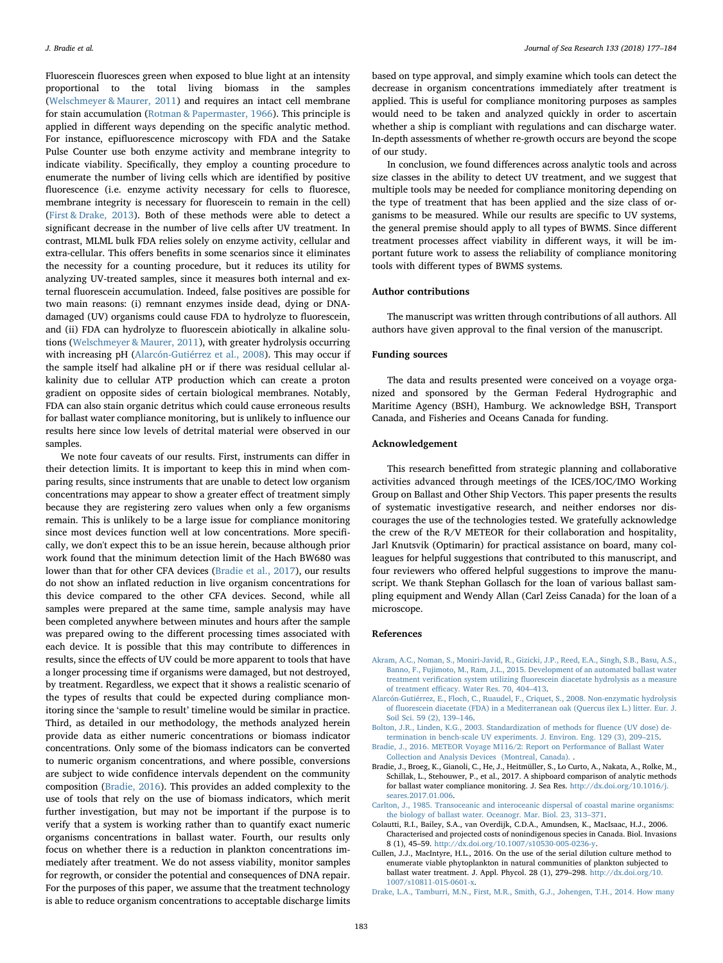Fluorescein fluoresces green when exposed to blue light at an intensity proportional to the total living biomass in the samples ([Welschmeyer & Maurer, 2011\)](#page-7-13) and requires an intact cell membrane for stain accumulation [\(Rotman & Papermaster, 1966\)](#page-7-26). This principle is applied in different ways depending on the specific analytic method. For instance, epifluorescence microscopy with FDA and the Satake Pulse Counter use both enzyme activity and membrane integrity to indicate viability. Specifically, they employ a counting procedure to enumerate the number of living cells which are identified by positive fluorescence (i.e. enzyme activity necessary for cells to fluoresce, membrane integrity is necessary for fluorescein to remain in the cell) ([First & Drake, 2013](#page-7-10)). Both of these methods were able to detect a significant decrease in the number of live cells after UV treatment. In contrast, MLML bulk FDA relies solely on enzyme activity, cellular and extra-cellular. This offers benefits in some scenarios since it eliminates the necessity for a counting procedure, but it reduces its utility for analyzing UV-treated samples, since it measures both internal and external fluorescein accumulation. Indeed, false positives are possible for two main reasons: (i) remnant enzymes inside dead, dying or DNAdamaged (UV) organisms could cause FDA to hydrolyze to fluorescein, and (ii) FDA can hydrolyze to fluorescein abiotically in alkaline solutions ([Welschmeyer & Maurer, 2011\)](#page-7-13), with greater hydrolysis occurring with increasing pH [\(Alarcón-Gutiérrez et al., 2008\)](#page-6-8). This may occur if the sample itself had alkaline pH or if there was residual cellular alkalinity due to cellular ATP production which can create a proton gradient on opposite sides of certain biological membranes. Notably, FDA can also stain organic detritus which could cause erroneous results for ballast water compliance monitoring, but is unlikely to influence our results here since low levels of detrital material were observed in our samples.

We note four caveats of our results. First, instruments can differ in their detection limits. It is important to keep this in mind when comparing results, since instruments that are unable to detect low organism concentrations may appear to show a greater effect of treatment simply because they are registering zero values when only a few organisms remain. This is unlikely to be a large issue for compliance monitoring since most devices function well at low concentrations. More specifically, we don't expect this to be an issue herein, because although prior work found that the minimum detection limit of the Hach BW680 was lower than that for other CFA devices ([Bradie et al., 2017](#page-6-4)), our results do not show an inflated reduction in live organism concentrations for this device compared to the other CFA devices. Second, while all samples were prepared at the same time, sample analysis may have been completed anywhere between minutes and hours after the sample was prepared owing to the different processing times associated with each device. It is possible that this may contribute to differences in results, since the effects of UV could be more apparent to tools that have a longer processing time if organisms were damaged, but not destroyed, by treatment. Regardless, we expect that it shows a realistic scenario of the types of results that could be expected during compliance monitoring since the 'sample to result' timeline would be similar in practice. Third, as detailed in our methodology, the methods analyzed herein provide data as either numeric concentrations or biomass indicator concentrations. Only some of the biomass indicators can be converted to numeric organism concentrations, and where possible, conversions are subject to wide confidence intervals dependent on the community composition ([Bradie, 2016](#page-6-5)). This provides an added complexity to the use of tools that rely on the use of biomass indicators, which merit further investigation, but may not be important if the purpose is to verify that a system is working rather than to quantify exact numeric organisms concentrations in ballast water. Fourth, our results only focus on whether there is a reduction in plankton concentrations immediately after treatment. We do not assess viability, monitor samples for regrowth, or consider the potential and consequences of DNA repair. For the purposes of this paper, we assume that the treatment technology is able to reduce organism concentrations to acceptable discharge limits

based on type approval, and simply examine which tools can detect the decrease in organism concentrations immediately after treatment is applied. This is useful for compliance monitoring purposes as samples would need to be taken and analyzed quickly in order to ascertain whether a ship is compliant with regulations and can discharge water. In-depth assessments of whether re-growth occurs are beyond the scope of our study.

In conclusion, we found differences across analytic tools and across size classes in the ability to detect UV treatment, and we suggest that multiple tools may be needed for compliance monitoring depending on the type of treatment that has been applied and the size class of organisms to be measured. While our results are specific to UV systems, the general premise should apply to all types of BWMS. Since different treatment processes affect viability in different ways, it will be important future work to assess the reliability of compliance monitoring tools with different types of BWMS systems.

## Author contributions

The manuscript was written through contributions of all authors. All authors have given approval to the final version of the manuscript.

## Funding sources

The data and results presented were conceived on a voyage organized and sponsored by the German Federal Hydrographic and Maritime Agency (BSH), Hamburg. We acknowledge BSH, Transport Canada, and Fisheries and Oceans Canada for funding.

## Acknowledgement

This research benefitted from strategic planning and collaborative activities advanced through meetings of the ICES/IOC/IMO Working Group on Ballast and Other Ship Vectors. This paper presents the results of systematic investigative research, and neither endorses nor discourages the use of the technologies tested. We gratefully acknowledge the crew of the R/V METEOR for their collaboration and hospitality, Jarl Knutsvik (Optimarin) for practical assistance on board, many colleagues for helpful suggestions that contributed to this manuscript, and four reviewers who offered helpful suggestions to improve the manuscript. We thank Stephan Gollasch for the loan of various ballast sampling equipment and Wendy Allan (Carl Zeiss Canada) for the loan of a microscope.

#### References

- <span id="page-6-2"></span>[Akram, A.C., Noman, S., Moniri-Javid, R., Gizicki, J.P., Reed, E.A., Singh, S.B., Basu, A.S.,](http://refhub.elsevier.com/S1385-1101(17)30062-X/rf0005) [Banno, F., Fujimoto, M., Ram, J.L., 2015. Development of an automated ballast water](http://refhub.elsevier.com/S1385-1101(17)30062-X/rf0005) treatment verification system utilizing fl[uorescein diacetate hydrolysis as a measure](http://refhub.elsevier.com/S1385-1101(17)30062-X/rf0005) of treatment effi[cacy. Water Res. 70, 404](http://refhub.elsevier.com/S1385-1101(17)30062-X/rf0005)–413.
- <span id="page-6-8"></span>[Alarcón-Gutiérrez, E., Floch, C., Ruaudel, F., Criquet, S., 2008. Non-enzymatic hydrolysis](http://refhub.elsevier.com/S1385-1101(17)30062-X/rf0010) of fl[uorescein diacetate \(FDA\) in a Mediterranean oak \(Quercus ilex L.\) litter. Eur. J.](http://refhub.elsevier.com/S1385-1101(17)30062-X/rf0010) [Soil Sci. 59 \(2\), 139](http://refhub.elsevier.com/S1385-1101(17)30062-X/rf0010)–146.
- <span id="page-6-7"></span>[Bolton, J.R., Linden, K.G., 2003. Standardization of methods for](http://refhub.elsevier.com/S1385-1101(17)30062-X/rf0015) fluence (UV dose) de[termination in bench-scale UV experiments. J. Environ. Eng. 129 \(3\), 209](http://refhub.elsevier.com/S1385-1101(17)30062-X/rf0015)–215.
- <span id="page-6-5"></span>[Bradie, J., 2016. METEOR Voyage M116/2: Report on Performance of Ballast Water](http://refhub.elsevier.com/S1385-1101(17)30062-X/rf0020) [Collection and Analysis Devices \(Montreal, Canada\).](http://refhub.elsevier.com/S1385-1101(17)30062-X/rf0020) .
- <span id="page-6-4"></span>Bradie, J., Broeg, K., Gianoli, C., He, J., Heitmüller, S., Lo Curto, A., Nakata, A., Rolke, M., Schillak, L., Stehouwer, P., et al., 2017. A shipboard comparison of analytic methods for ballast water compliance monitoring. J. Sea Res. [http://dx.doi.org/10.1016/j.](http://dx.doi.org/10.1016/j.seares.2017.01.006) [seares.2017.01.006](http://dx.doi.org/10.1016/j.seares.2017.01.006).
- <span id="page-6-1"></span>[Carlton, J., 1985. Transoceanic and interoceanic dispersal of coastal marine organisms:](http://refhub.elsevier.com/S1385-1101(17)30062-X/rf0030) [the biology of ballast water. Oceanogr. Mar. Biol. 23, 313](http://refhub.elsevier.com/S1385-1101(17)30062-X/rf0030)–371.
- <span id="page-6-0"></span>Colautti, R.I., Bailey, S.A., van Overdijk, C.D.A., Amundsen, K., MacIsaac, H.J., 2006. Characterised and projected costs of nonindigenous species in Canada. Biol. Invasions 8 (1), 45–59. <http://dx.doi.org/10.1007/s10530-005-0236-y>.
- <span id="page-6-6"></span>Cullen, J.J., MacIntyre, H.L., 2016. On the use of the serial dilution culture method to enumerate viable phytoplankton in natural communities of plankton subjected to ballast water treatment. J. Appl. Phycol. 28 (1), 279–298. [http://dx.doi.org/10.](http://dx.doi.org/10.1007/s10811-015-0601-x) [1007/s10811-015-0601-x](http://dx.doi.org/10.1007/s10811-015-0601-x).
- <span id="page-6-3"></span>[Drake, L.A., Tamburri, M.N., First, M.R., Smith, G.J., Johengen, T.H., 2014. How many](http://refhub.elsevier.com/S1385-1101(17)30062-X/rf0050)